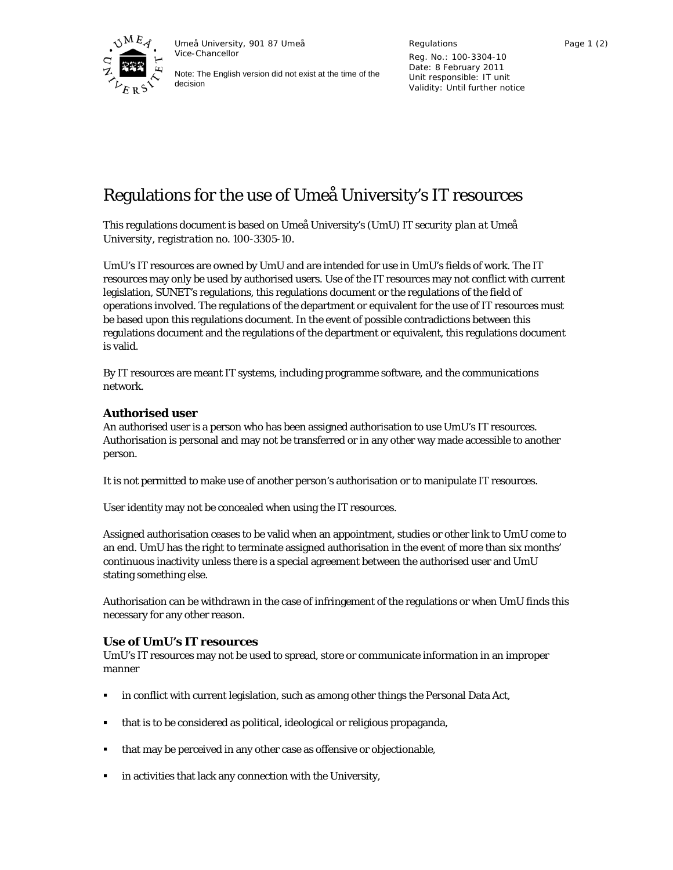

Umeå University, 901 87 Umeå Vice-Chancellor

Note: The English version did not exist at the time of the decision

Regulations Reg. No.: 100-3304-10 Date: 8 February 2011 Unit responsible: IT unit Validity: Until further notice

# Regulations for the use of Umeå University's IT resources

This regulations document is based on Umeå University's (UmU) *IT security plan at Umeå University, registration no. 100-3305-10*.

UmU's IT resources are owned by UmU and are intended for use in UmU's fields of work. The IT resources may only be used by authorised users. Use of the IT resources may not conflict with current legislation, SUNET's regulations, this regulations document or the regulations of the field of operations involved. The regulations of the department or equivalent for the use of IT resources must be based upon this regulations document. In the event of possible contradictions between this regulations document and the regulations of the department or equivalent, this regulations document is valid.

By IT resources are meant IT systems, including programme software, and the communications network.

## **Authorised user**

An authorised user is a person who has been assigned authorisation to use UmU's IT resources. Authorisation is personal and may not be transferred or in any other way made accessible to another person.

It is not permitted to make use of another person's authorisation or to manipulate IT resources.

User identity may not be concealed when using the IT resources.

Assigned authorisation ceases to be valid when an appointment, studies or other link to UmU come to an end. UmU has the right to terminate assigned authorisation in the event of more than six months' continuous inactivity unless there is a special agreement between the authorised user and UmU stating something else.

Authorisation can be withdrawn in the case of infringement of the regulations or when UmU finds this necessary for any other reason.

## **Use of UmU's IT resources**

UmU's IT resources may not be used to spread, store or communicate information in an improper manner

- in conflict with current legislation, such as among other things the Personal Data Act,
- that is to be considered as political, ideological or religious propaganda,
- that may be perceived in any other case as offensive or objectionable,
- in activities that lack any connection with the University,